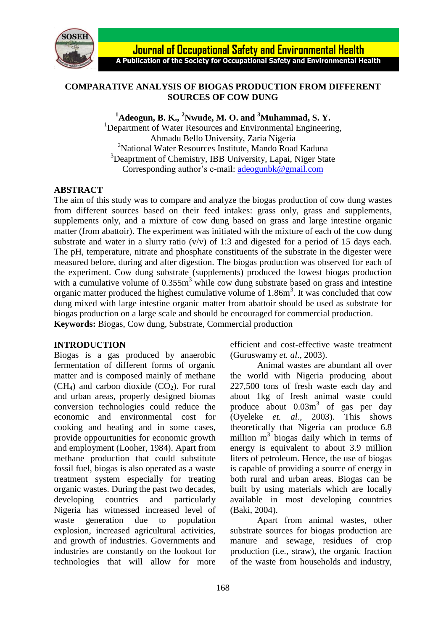

# **COMPARATIVE ANALYSIS OF BIOGAS PRODUCTION FROM DIFFERENT SOURCES OF COW DUNG**

**<sup>1</sup>Adeogun, B. K., <sup>2</sup>Nwude, M. O. and <sup>3</sup>Muhammad, S. Y.**

<sup>1</sup>Department of Water Resources and Environmental Engineering, Ahmadu Bello University, Zaria Nigeria <sup>2</sup>National Water Resources Institute, Mando Road Kaduna <sup>3</sup>Deaprtment of Chemistry, IBB University, Lapai, Niger State Corresponding author's e-mail: [adeogunbk@gmail.com](mailto:adeogunbk@gmail.com)

# **ABSTRACT**

The aim of this study was to compare and analyze the biogas production of cow dung wastes from different sources based on their feed intakes: grass only, grass and supplements, supplements only, and a mixture of cow dung based on grass and large intestine organic matter (from abattoir). The experiment was initiated with the mixture of each of the cow dung substrate and water in a slurry ratio  $(v/v)$  of 1:3 and digested for a period of 15 days each. The pH, temperature, nitrate and phosphate constituents of the substrate in the digester were measured before, during and after digestion. The biogas production was observed for each of the experiment. Cow dung substrate (supplements) produced the lowest biogas production with a cumulative volume of  $0.355m<sup>3</sup>$  while cow dung substrate based on grass and intestine organic matter produced the highest cumulative volume of 1.86m<sup>3</sup>. It was concluded that cow dung mixed with large intestine organic matter from abattoir should be used as substrate for biogas production on a large scale and should be encouraged for commercial production. **Keywords:** Biogas, Cow dung, Substrate, Commercial production

# **INTRODUCTION**

Biogas is a gas produced by anaerobic fermentation of different forms of organic matter and is composed mainly of methane  $(CH<sub>4</sub>)$  and carbon dioxide  $(CO<sub>2</sub>)$ . For rural and urban areas, properly designed biomas conversion technologies could reduce the economic and environmental cost for cooking and heating and in some cases, provide oppourtunities for economic growth and employment (Looher, 1984). Apart from methane production that could substitute fossil fuel, biogas is also operated as a waste treatment system especially for treating organic wastes. During the past two decades, developing countries and particularly Nigeria has witnessed increased level of waste generation due to population explosion, increased agricultural activities, and growth of industries. Governments and industries are constantly on the lookout for technologies that will allow for more

efficient and cost-effective waste treatment (Guruswamy *et. al*., 2003).

Animal wastes are abundant all over the world with Nigeria producing about 227,500 tons of fresh waste each day and about 1kg of fresh animal waste could produce about 0.03m<sup>3</sup> of gas per day (Oyeleke *et. al*., 2003). This shows theoretically that Nigeria can produce 6.8 million  $m<sup>3</sup>$  biogas daily which in terms of energy is equivalent to about 3.9 million liters of petroleum. Hence, the use of biogas is capable of providing a source of energy in both rural and urban areas. Biogas can be built by using materials which are locally available in most developing countries (Baki, 2004).

Apart from animal wastes, other substrate sources for biogas production are manure and sewage, residues of crop production (i.e., straw), the organic fraction of the waste from households and industry,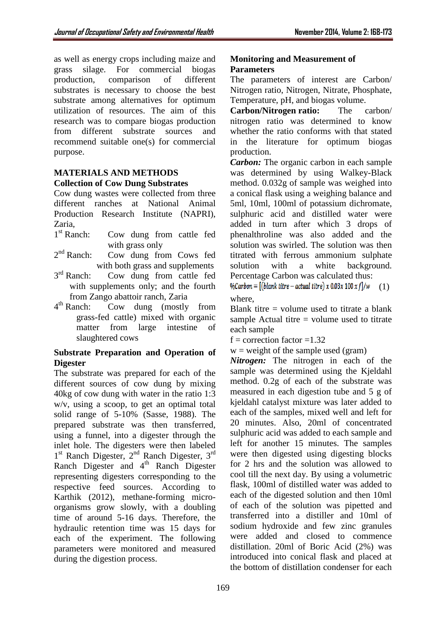as well as energy crops including maize and grass silage. For commercial biogas production, comparison of different substrates is necessary to choose the best substrate among alternatives for optimum utilization of resources. The aim of this research was to compare biogas production from different substrate sources and recommend suitable one(s) for commercial purpose.

## **MATERIALS AND METHODS Collection of Cow Dung Substrates**

Cow dung wastes were collected from three different ranches at National Animal Production Research Institute (NAPRI), Zaria,

- $1<sup>st</sup>$  Ranch<sup>+</sup> Cow dung from cattle fed with grass only
- $2<sup>nd</sup>$  Ranch: Cow dung from Cows fed with both grass and supplements
- $3<sup>rd</sup>$  Ranch: Cow dung from cattle fed with supplements only; and the fourth from Zango abattoir ranch, Zaria
- $4<sup>th</sup>$  Ranch: Cow dung (mostly from grass-fed cattle) mixed with organic matter from large intestine of slaughtered cows

# **Substrate Preparation and Operation of Digester**

The substrate was prepared for each of the different sources of cow dung by mixing 40kg of cow dung with water in the ratio 1:3 w/v, using a scoop, to get an optimal total solid range of 5-10% (Sasse, 1988). The prepared substrate was then transferred, using a funnel, into a digester through the inlet hole. The digesters were then labeled 1<sup>st</sup> Ranch Digester, 2<sup>nd</sup> Ranch Digester, 3<sup>rd</sup> Ranch Digester and  $4<sup>th</sup>$  Ranch Digester representing digesters corresponding to the respective feed sources. According to Karthik (2012), methane-forming microorganisms grow slowly, with a doubling time of around 5-16 days. Therefore, the hydraulic retention time was 15 days for each of the experiment. The following parameters were monitored and measured during the digestion process.

# **Monitoring and Measurement of Parameters**

The parameters of interest are Carbon/ Nitrogen ratio, Nitrogen, Nitrate, Phosphate, Temperature, pH, and biogas volume.

**Carbon/Nitrogen ratio:** The carbon/ nitrogen ratio was determined to know whether the ratio conforms with that stated in the literature for optimum biogas production.

*Carbon:* The organic carbon in each sample was determined by using Walkey-Black method. 0.032g of sample was weighed into a conical flask using a weighing balance and 5ml, 10ml, 100ml of potassium dichromate, sulphuric acid and distilled water were added in turn after which 3 drops of phenalthroline was also added and the solution was swirled. The solution was then titrated with ferrous ammonium sulphate solution with a white background. Percentage Carbon was calculated thus:

 $\% Carbon = [(blank titre - actual titre) x 0.03x 100 x f]/w$  (1) where,

Blank titre  $=$  volume used to titrate a blank sample Actual titre  $=$  volume used to titrate each sample

 $f =$  correction factor = 1.32

 $w =$  weight of the sample used (gram)

*Nitrogen:* The nitrogen in each of the sample was determined using the Kjeldahl method. 0.2g of each of the substrate was measured in each digestion tube and 5 g of kjeldahl catalyst mixture was later added to each of the samples, mixed well and left for 20 minutes. Also, 20ml of concentrated sulphuric acid was added to each sample and left for another 15 minutes. The samples were then digested using digesting blocks for 2 hrs and the solution was allowed to cool till the next day. By using a volumetric flask, 100ml of distilled water was added to each of the digested solution and then 10ml of each of the solution was pipetted and transferred into a distiller and 10ml of sodium hydroxide and few zinc granules were added and closed to commence distillation. 20ml of Boric Acid (2%) was introduced into conical flask and placed at the bottom of distillation condenser for each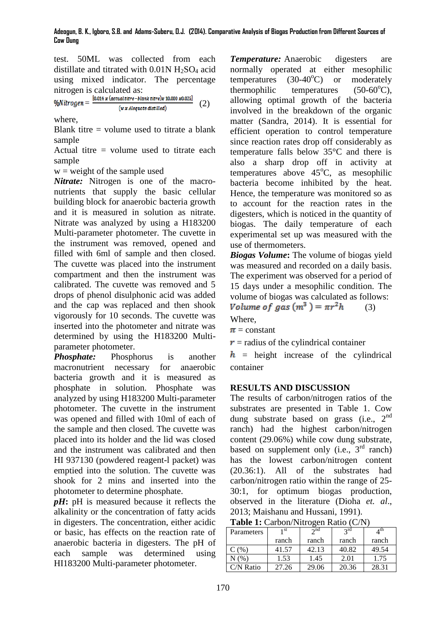test. 50ML was collected from each distillate and titrated with  $0.01N$  H<sub>2</sub>SO<sub>4</sub> acid using mixed indicator. The percentage

nitrogen is calculated as:<br>  $% Nitrogen = \frac{[0.014 x (actual titrs-blank titrs)x 10,000 x0.025]}{+0.000 x0.025}$  (2)  $(w x$  Alequote distilled)

where,

Blank titre  $=$  volume used to titrate a blank sample

Actual titre  $=$  volume used to titrate each sample

 $w = weight of the sample used$ 

*Nitrate:* Nitrogen is one of the macronutrients that supply the basic cellular building block for anaerobic bacteria growth and it is measured in solution as nitrate. Nitrate was analyzed by using a H183200 Multi-parameter photometer. The cuvette in the instrument was removed, opened and filled with 6ml of sample and then closed. The cuvette was placed into the instrument compartment and then the instrument was calibrated. The cuvette was removed and 5 drops of phenol disulphonic acid was added and the cap was replaced and then shook vigorously for 10 seconds. The cuvette was inserted into the photometer and nitrate was determined by using the H183200 Multiparameter photometer.

*Phosphate:* Phosphorus is another macronutrient necessary for anaerobic bacteria growth and it is measured as phosphate in solution. Phosphate was analyzed by using H183200 Multi-parameter photometer. The cuvette in the instrument was opened and filled with 10ml of each of the sample and then closed. The cuvette was placed into its holder and the lid was closed and the instrument was calibrated and then HI 937130 (powdered reagent-l packet) was emptied into the solution. The cuvette was shook for 2 mins and inserted into the photometer to determine phosphate.

*pH***:** pH is measured because it reflects the alkalinity or the concentration of fatty acids in digesters. The concentration, either acidic or basic, has effects on the reaction rate of anaerobic bacteria in digesters. The pH of each sample was determined using HI183200 Multi-parameter photometer.

*Temperature:* Anaerobic digesters are normally operated at either mesophilic temperatures  $(30-40^{\circ}C)$  or moderately thermophilic temperatures  $(50-60^{\circ}\text{C})$ , allowing optimal growth of the bacteria involved in the breakdown of the organic matter (Sandra, 2014). It is essential for efficient operation to control temperature since reaction rates drop off considerably as temperature falls below 35°C and there is also a sharp drop off in activity at temperatures above  $45^{\circ}$ C, as mesophilic bacteria become inhibited by the heat. Hence, the temperature was monitored so as to account for the reaction rates in the digesters, which is noticed in the quantity of biogas. The daily temperature of each experimental set up was measured with the use of thermometers.

*Biogas Volume***:** The volume of biogas yield was measured and recorded on a daily basis. The experiment was observed for a period of 15 days under a mesophilic condition. The volume of biogas was calculated as follows:<br>Volume of gas  $(m^3) = \pi r^2 h$  (3) (3)

Where,

 $\pi$  = constant

 $\mathbf{r}$  = radius of the cylindrical container

 $h$  = height increase of the cylindrical container

# **RESULTS AND DISCUSSION**

The results of carbon/nitrogen ratios of the substrates are presented in Table 1. Cow dung substrate based on grass (i.e., 2<sup>nd</sup> ranch) had the highest carbon/nitrogen content (29.06%) while cow dung substrate, based on supplement only (i.e.,  $3<sup>rd</sup>$  ranch) has the lowest carbon/nitrogen content (20.36:1). All of the substrates had carbon/nitrogen ratio within the range of 25- 30:1, for optimum biogas production, observed in the literature (Dioha *et. al*., 2013; Maishanu and Hussani, 1991).

**Table 1:** Carbon/Nitrogen Ratio (C/N)

| Parameters | 1 st  | $\gamma$ nd | $2^{\text{rd}}$ | 4 th  |
|------------|-------|-------------|-----------------|-------|
|            | ranch | ranch       | ranch           | ranch |
| C(%)       | 41.57 | 42.13       | 40.82           | 49.54 |
| N(%)       | 1.53  | 1.45        | 2.01            | 1.75  |
| $CN$ Ratio | 27.26 | 29.06       | 20.36           | 28.31 |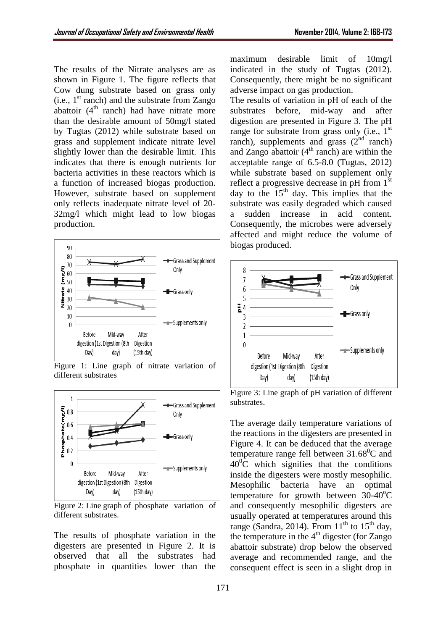The results of the Nitrate analyses are as shown in Figure 1. The figure reflects that Cow dung substrate based on grass only (i.e.,  $1<sup>st</sup>$  ranch) and the substrate from Zango abattoir  $(4<sup>th</sup>$  ranch) had have nitrate more than the desirable amount of 50mg/l stated by Tugtas (2012) while substrate based on grass and supplement indicate nitrate level slightly lower than the desirable limit. This indicates that there is enough nutrients for bacteria activities in these reactors which is a function of increased biogas production. However, substrate based on supplement only reflects inadequate nitrate level of 20- 32mg/l which might lead to low biogas production.



Figure 1: Line graph of nitrate variation of different substrates



Figure 2: Line graph of phosphate variation of different substrates.

The results of phosphate variation in the digesters are presented in Figure 2. It is observed that all the substrates had phosphate in quantities lower than the

maximum desirable limit of 10mg/l indicated in the study of Tugtas (2012). Consequently, there might be no significant adverse impact on gas production.

The results of variation in pH of each of the substrates before, mid-way and after digestion are presented in Figure 3. The pH range for substrate from grass only (i.e.,  $1<sup>st</sup>$ ranch), supplements and grass  $(2<sup>nd</sup>$  ranch) and Zango abattoir  $(4<sup>th</sup>$  ranch) are within the acceptable range of 6.5-8.0 (Tugtas, 2012) while substrate based on supplement only reflect a progressive decrease in pH from 1<sup>st</sup> day to the  $15<sup>th</sup>$  day. This implies that the substrate was easily degraded which caused a sudden increase in acid content. Consequently, the microbes were adversely affected and might reduce the volume of biogas produced.



Figure 3: Line graph of pH variation of different substrates.

The average daily temperature variations of the reactions in the digesters are presented in Figure 4. It can be deduced that the average temperature range fell between  $31.68^{\circ}$ C and  $40^{\circ}$ C which signifies that the conditions inside the digesters were mostly mesophilic. Mesophilic bacteria have an optimal temperature for growth between  $30-40^{\circ}$ C and consequently mesophilic digesters are usually operated at temperatures around this range (Sandra, 2014). From  $11<sup>th</sup>$  to  $15<sup>th</sup>$  day, the temperature in the  $4<sup>th</sup>$  digester (for Zango abattoir substrate) drop below the observed average and recommended range, and the consequent effect is seen in a slight drop in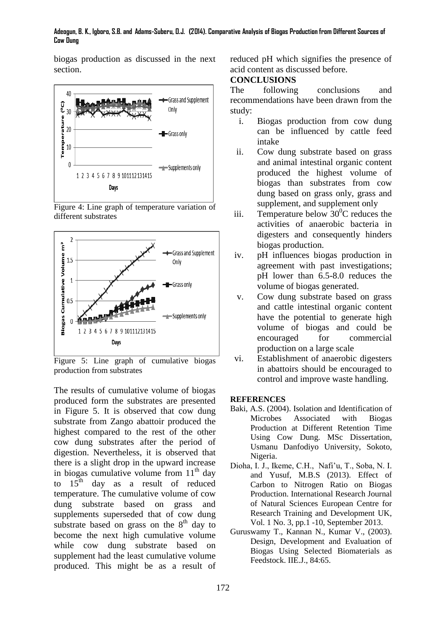#### **Adeogun, B. K., Igboro, S.B. and Adams-Suberu, O.J. (2014). Comparative Analysis of Biogas Production from Different Sources of Cow Dung**

biogas production as discussed in the next section.



Figure 4: Line graph of temperature variation of different substrates



Figure 5: Line graph of cumulative biogas production from substrates

The results of cumulative volume of biogas produced form the substrates are presented in Figure 5. It is observed that cow dung substrate from Zango abattoir produced the highest compared to the rest of the other cow dung substrates after the period of digestion. Nevertheless, it is observed that there is a slight drop in the upward increase in biogas cumulative volume from  $11<sup>th</sup>$  day to  $15<sup>th</sup>$  day as a result of reduced temperature. The cumulative volume of cow dung substrate based on grass and supplements superseded that of cow dung substrate based on grass on the  $8<sup>th</sup>$  day to become the next high cumulative volume while cow dung substrate based on supplement had the least cumulative volume produced. This might be as a result of

reduced pH which signifies the presence of acid content as discussed before.

### **CONCLUSIONS**

The following conclusions and recommendations have been drawn from the study:

- i. Biogas production from cow dung can be influenced by cattle feed intake
- ii. Cow dung substrate based on grass and animal intestinal organic content produced the highest volume of biogas than substrates from cow dung based on grass only, grass and supplement, and supplement only
- iii. Temperature below 30<sup>°</sup>C reduces the activities of anaerobic bacteria in digesters and consequently hinders biogas production.
- iv. pH influences biogas production in agreement with past investigations; pH lower than 6.5-8.0 reduces the volume of biogas generated.
- v. Cow dung substrate based on grass and cattle intestinal organic content have the potential to generate high volume of biogas and could be encouraged for commercial production on a large scale
- vi. Establishment of anaerobic digesters in abattoirs should be encouraged to control and improve waste handling.

#### **REFERENCES**

- Baki, A.S. (2004). Isolation and Identification of Microbes Associated with Biogas Production at Different Retention Time Using Cow Dung. MSc Dissertation, Usmanu Danfodiyo University, Sokoto, Nigeria.
- Dioha, I. J., Ikeme, C.H., Nafi'u, T., Soba, N. I. and Yusuf, M.B.S (2013). Effect of Carbon to Nitrogen Ratio on Biogas Production. International Research Journal of Natural Sciences European Centre for Research Training and Development UK, Vol. 1 No. 3, pp.1 -10, September 2013.
- Guruswamy T., Kannan N., Kumar V., (2003). Design, Development and Evaluation of Biogas Using Selected Biomaterials as Feedstock. IIE.J., 84:65.